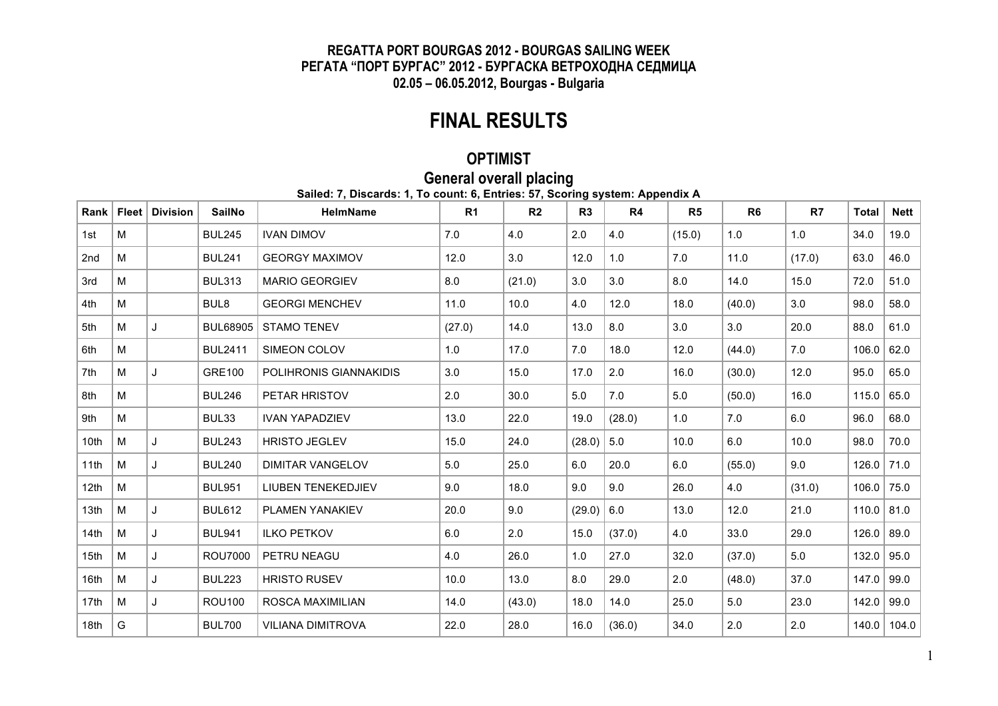#### **REGATTA PORT BOURGAS 2012 - BOURGAS SAILING WEEK РЕГАТА "ПОРТ БУРГАС" 2012 - БУРГАСКА ВЕТРОХОДНА СЕДМИЦА 02.05 – 06.05.2012, Bourgas - Bulgaria**

## **FINAL RESULTS**

### **OPTIMIST**

## **General overall placing**

**Sailed: 7, Discards: 1, To count: 6, Entries: 57, Scoring system: Appendix A**

| Rank             | <b>Fleet</b> | <b>Division</b> | <b>SailNo</b>    | <b>HelmName</b>          | R <sub>1</sub> | R <sub>2</sub> | R3     | R4     | R <sub>5</sub> | R <sub>6</sub> | R7     | <b>Total</b> | <b>Nett</b> |
|------------------|--------------|-----------------|------------------|--------------------------|----------------|----------------|--------|--------|----------------|----------------|--------|--------------|-------------|
| 1st              | M            |                 | <b>BUL245</b>    | <b>IVAN DIMOV</b>        | 7.0            | 4.0            | 2.0    | 4.0    | (15.0)         | 1.0            | 1.0    | 34.0         | 19.0        |
| 2 <sub>nd</sub>  | M            |                 | <b>BUL241</b>    | <b>GEORGY MAXIMOV</b>    | 12.0           | 3.0            | 12.0   | 1.0    | 7.0            | 11.0           | (17.0) | 63.0         | 46.0        |
| 3rd              | M            |                 | <b>BUL313</b>    | <b>MARIO GEORGIEV</b>    | 8.0            | (21.0)         | 3.0    | 3.0    | 8.0            | 14.0           | 15.0   | 72.0         | 51.0        |
| 4th              | M            |                 | BUL <sub>8</sub> | <b>GEORGI MENCHEV</b>    | 11.0           | 10.0           | 4.0    | 12.0   | 18.0           | (40.0)         | 3.0    | 98.0         | 58.0        |
| 5th              | M            | J               | <b>BUL68905</b>  | <b>STAMO TENEV</b>       | (27.0)         | 14.0           | 13.0   | 8.0    | 3.0            | 3.0            | 20.0   | 88.0         | 61.0        |
| 6th              | M            |                 | <b>BUL2411</b>   | SIMEON COLOV             | 1.0            | 17.0           | 7.0    | 18.0   | 12.0           | (44.0)         | 7.0    | 106.0        | 62.0        |
| 7th              | M            | J               | <b>GRE100</b>    | POLIHRONIS GIANNAKIDIS   | 3.0            | 15.0           | 17.0   | 2.0    | 16.0           | (30.0)         | 12.0   | 95.0         | 65.0        |
| 8th              | M            |                 | <b>BUL246</b>    | PETAR HRISTOV            | 2.0            | 30.0           | 5.0    | 7.0    | 5.0            | (50.0)         | 16.0   | 115.0        | 65.0        |
| 9th              | M            |                 | BUL33            | <b>IVAN YAPADZIEV</b>    | 13.0           | 22.0           | 19.0   | (28.0) | 1.0            | 7.0            | 6.0    | 96.0         | 68.0        |
| 10th             | M            | J               | <b>BUL243</b>    | <b>HRISTO JEGLEV</b>     | 15.0           | 24.0           | (28.0) | 5.0    | 10.0           | 6.0            | 10.0   | 98.0         | 70.0        |
| 11th             | M            | J               | <b>BUL240</b>    | <b>DIMITAR VANGELOV</b>  | 5.0            | 25.0           | 6.0    | 20.0   | 6.0            | (55.0)         | 9.0    | 126.0        | 71.0        |
| 12 <sub>th</sub> | M            |                 | <b>BUL951</b>    | LIUBEN TENEKEDJIEV       | 9.0            | 18.0           | 9.0    | 9.0    | 26.0           | 4.0            | (31.0) | 106.0        | 75.0        |
| 13 <sub>th</sub> | M            | J               | <b>BUL612</b>    | <b>PLAMEN YANAKIEV</b>   | 20.0           | 9.0            | (29.0) | 6.0    | 13.0           | 12.0           | 21.0   | 110.0        | 81.0        |
| 14th             | M            | J               | <b>BUL941</b>    | <b>ILKO PETKOV</b>       | 6.0            | 2.0            | 15.0   | (37.0) | 4.0            | 33.0           | 29.0   | 126.0        | 89.0        |
| 15th             | M            | J               | <b>ROU7000</b>   | PETRU NEAGU              | 4.0            | 26.0           | 1.0    | 27.0   | 32.0           | (37.0)         | 5.0    | 132.0        | 95.0        |
| 16th             | M            | J               | <b>BUL223</b>    | <b>HRISTO RUSEV</b>      | 10.0           | 13.0           | 8.0    | 29.0   | 2.0            | (48.0)         | 37.0   | 147.0        | 99.0        |
| 17th             | M            | J               | <b>ROU100</b>    | ROSCA MAXIMILIAN         | 14.0           | (43.0)         | 18.0   | 14.0   | 25.0           | 5.0            | 23.0   | 142.0        | 99.0        |
| 18th             | G            |                 | <b>BUL700</b>    | <b>VILIANA DIMITROVA</b> | 22.0           | 28.0           | 16.0   | (36.0) | 34.0           | 2.0            | 2.0    | 140.0        | 104.0       |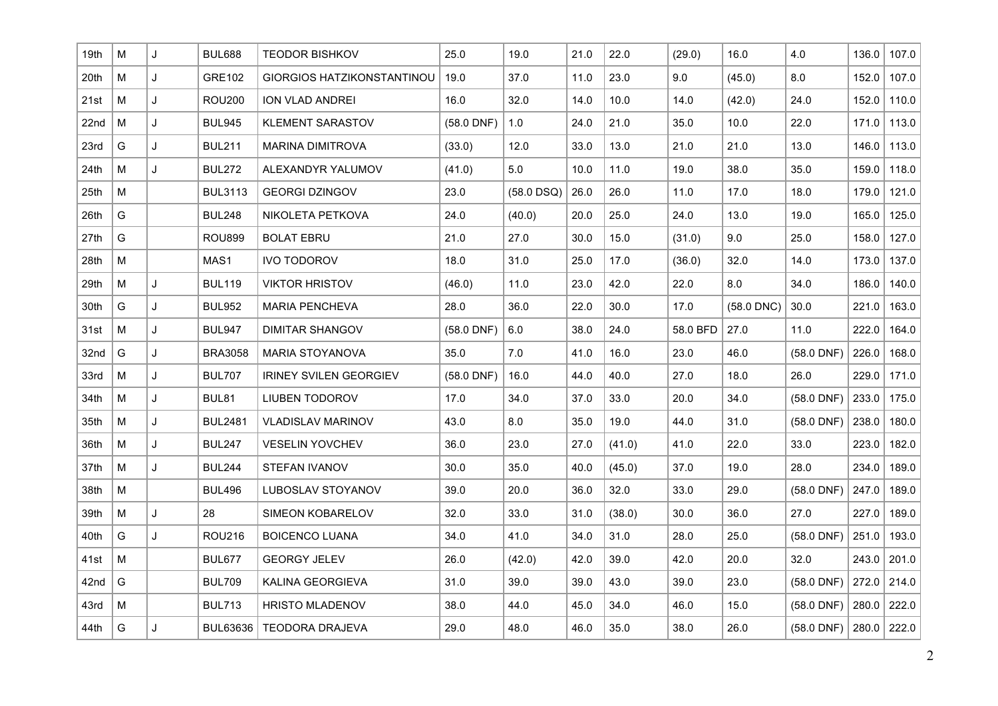| 19th | М         | J | <b>BUL688</b>    | <b>TEODOR BISHKOV</b>             | 25.0         | 19.0         | 21.0 | 22.0   | (29.0)   | 16.0         | 4.0          | 136.0 | 107.0         |
|------|-----------|---|------------------|-----------------------------------|--------------|--------------|------|--------|----------|--------------|--------------|-------|---------------|
| 20th | M         | J | <b>GRE102</b>    | <b>GIORGIOS HATZIKONSTANTINOU</b> | 19.0         | 37.0         | 11.0 | 23.0   | 9.0      | (45.0)       | 8.0          | 152.0 | 107.0         |
| 21st | M         | J | <b>ROU200</b>    | ION VLAD ANDREI                   | 16.0         | 32.0         | 14.0 | 10.0   | 14.0     | (42.0)       | 24.0         | 152.0 | 110.0         |
| 22nd | M         | J | <b>BUL945</b>    | <b>KLEMENT SARASTOV</b>           | $(58.0$ DNF) | 1.0          | 24.0 | 21.0   | 35.0     | 10.0         | 22.0         | 171.0 | 113.0         |
| 23rd | G         | J | <b>BUL211</b>    | <b>MARINA DIMITROVA</b>           | (33.0)       | 12.0         | 33.0 | 13.0   | 21.0     | 21.0         | 13.0         | 146.0 | 113.0         |
| 24th | M         | J | <b>BUL272</b>    | ALEXANDYR YALUMOV                 | (41.0)       | 5.0          | 10.0 | 11.0   | 19.0     | 38.0         | 35.0         | 159.0 | 118.0         |
| 25th | M         |   | <b>BUL3113</b>   | <b>GEORGI DZINGOV</b>             | 23.0         | $(58.0$ DSQ) | 26.0 | 26.0   | 11.0     | 17.0         | 18.0         | 179.0 | 121.0         |
| 26th | G         |   | <b>BUL248</b>    | NIKOLETA PETKOVA                  | 24.0         | (40.0)       | 20.0 | 25.0   | 24.0     | 13.0         | 19.0         | 165.0 | 125.0         |
| 27th | G         |   | <b>ROU899</b>    | <b>BOLAT EBRU</b>                 | 21.0         | 27.0         | 30.0 | 15.0   | (31.0)   | 9.0          | 25.0         | 158.0 | 127.0         |
| 28th | М         |   | MAS <sub>1</sub> | <b>IVO TODOROV</b>                | 18.0         | 31.0         | 25.0 | 17.0   | (36.0)   | 32.0         | 14.0         | 173.0 | 137.0         |
| 29th | ${\sf M}$ | J | <b>BUL119</b>    | <b>VIKTOR HRISTOV</b>             | (46.0)       | 11.0         | 23.0 | 42.0   | 22.0     | 8.0          | 34.0         | 186.0 | 140.0         |
| 30th | G         | J | <b>BUL952</b>    | <b>MARIA PENCHEVA</b>             | 28.0         | 36.0         | 22.0 | 30.0   | 17.0     | $(58.0$ DNC) | 30.0         | 221.0 | 163.0         |
| 31st | M         | J | <b>BUL947</b>    | <b>DIMITAR SHANGOV</b>            | $(58.0$ DNF) | 6.0          | 38.0 | 24.0   | 58.0 BFD | 27.0         | 11.0         | 222.0 | 164.0         |
| 32nd | G         | J | <b>BRA3058</b>   | <b>MARIA STOYANOVA</b>            | 35.0         | 7.0          | 41.0 | 16.0   | 23.0     | 46.0         | $(58.0$ DNF) | 226.0 | 168.0         |
| 33rd | M         | J | <b>BUL707</b>    | <b>IRINEY SVILEN GEORGIEV</b>     | $(58.0$ DNF) | 16.0         | 44.0 | 40.0   | 27.0     | 18.0         | 26.0         | 229.0 | 171.0         |
| 34th | M         | J | BUL81            | <b>LIUBEN TODOROV</b>             | 17.0         | 34.0         | 37.0 | 33.0   | 20.0     | 34.0         | $(58.0$ DNF) | 233.0 | 175.0         |
| 35th | M         | J | <b>BUL2481</b>   | <b>VLADISLAV MARINOV</b>          | 43.0         | 8.0          | 35.0 | 19.0   | 44.0     | 31.0         | $(58.0$ DNF) | 238.0 | 180.0         |
| 36th | ${\sf M}$ | J | <b>BUL247</b>    | <b>VESELIN YOVCHEV</b>            | 36.0         | 23.0         | 27.0 | (41.0) | 41.0     | 22.0         | 33.0         | 223.0 | 182.0         |
| 37th | M         | J | <b>BUL244</b>    | STEFAN IVANOV                     | 30.0         | 35.0         | 40.0 | (45.0) | 37.0     | 19.0         | 28.0         | 234.0 | 189.0         |
| 38th | M         |   | <b>BUL496</b>    | LUBOSLAV STOYANOV                 | 39.0         | 20.0         | 36.0 | 32.0   | 33.0     | 29.0         | $(58.0$ DNF) | 247.0 | 189.0         |
| 39th | M         | J | 28               | SIMEON KOBARELOV                  | 32.0         | 33.0         | 31.0 | (38.0) | 30.0     | 36.0         | 27.0         | 227.0 | 189.0         |
| 40th | G         | J | <b>ROU216</b>    | <b>BOICENCO LUANA</b>             | 34.0         | 41.0         | 34.0 | 31.0   | 28.0     | 25.0         | $(58.0$ DNF) | 251.0 | 193.0         |
| 41st | M         |   | <b>BUL677</b>    | <b>GEORGY JELEV</b>               | 26.0         | (42.0)       | 42.0 | 39.0   | 42.0     | 20.0         | 32.0         | 243.0 | 201.0         |
| 42nd | G         |   | <b>BUL709</b>    | KALINA GEORGIEVA                  | 31.0         | 39.0         | 39.0 | 43.0   | 39.0     | 23.0         | $(58.0$ DNF) | 272.0 | 214.0         |
| 43rd | М         |   | <b>BUL713</b>    | <b>HRISTO MLADENOV</b>            | 38.0         | 44.0         | 45.0 | 34.0   | 46.0     | 15.0         | $(58.0$ DNF) | 280.0 | 222.0         |
| 44th | G         | J | BUL63636         | <b>TEODORA DRAJEVA</b>            | 29.0         | 48.0         | 46.0 | 35.0   | 38.0     | 26.0         | $(58.0$ DNF) |       | $280.0$ 222.0 |
|      |           |   |                  |                                   |              |              |      |        |          |              |              |       |               |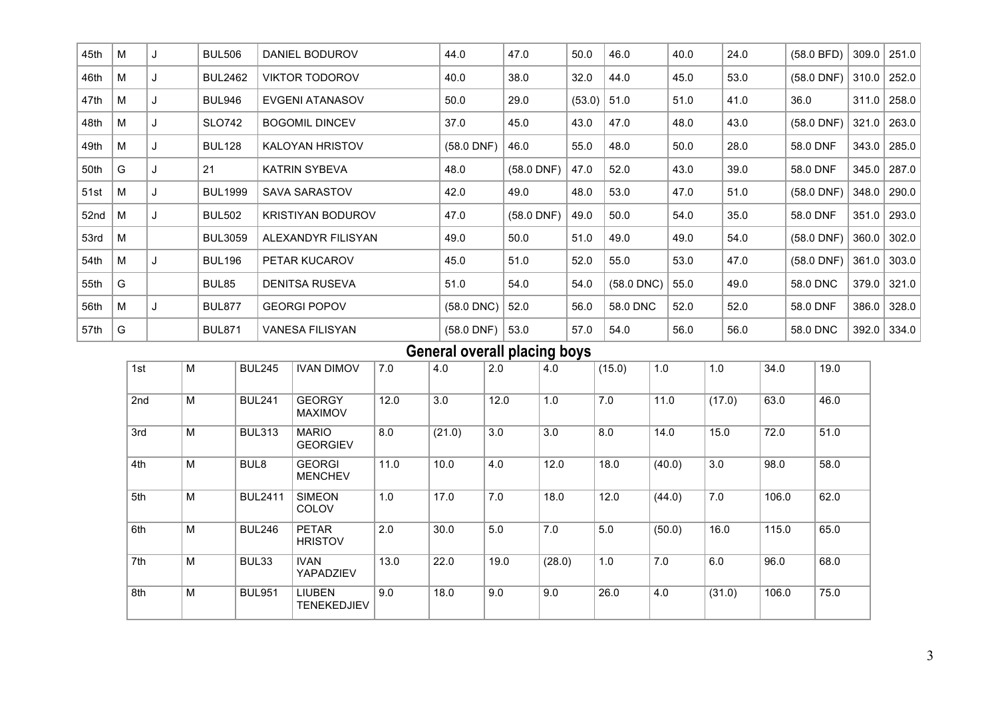| 45th | M |   | <b>BUL506</b>  | DANIEL BODUROV           | 44.0         | 47.0         | 50.0   | 46.0         | 40.0 | 24.0 | (58.0 BFD)   | 309.0 | 251.0 |
|------|---|---|----------------|--------------------------|--------------|--------------|--------|--------------|------|------|--------------|-------|-------|
| 46th | M |   | <b>BUL2462</b> | <b>VIKTOR TODOROV</b>    | 40.0         | 38.0         | 32.0   | 44.0         | 45.0 | 53.0 | $(58.0$ DNF) | 310.0 | 252.0 |
| 47th | M |   | <b>BUL946</b>  | <b>EVGENI ATANASOV</b>   | 50.0         | 29.0         | (53.0) | 51.0         | 51.0 | 41.0 | 36.0         | 311.0 | 258.0 |
| 48th | M |   | <b>SLO742</b>  | <b>BOGOMIL DINCEV</b>    | 37.0         | 45.0         | 43.0   | 47.0         | 48.0 | 43.0 | $(58.0$ DNF) | 321.0 | 263.0 |
| 49th | M | J | <b>BUL128</b>  | <b>KALOYAN HRISTOV</b>   | $(58.0$ DNF) | 46.0         | 55.0   | 48.0         | 50.0 | 28.0 | 58.0 DNF     | 343.0 | 285.0 |
| 50th | G | J | 21             | <b>KATRIN SYBEVA</b>     | 48.0         | $(58.0$ DNF) | 47.0   | 52.0         | 43.0 | 39.0 | 58.0 DNF     | 345.0 | 287.0 |
| 51st | M |   | <b>BUL1999</b> | <b>SAVA SARASTOV</b>     | 42.0         | 49.0         | 48.0   | 53.0         | 47.0 | 51.0 | $(58.0$ DNF) | 348.0 | 290.0 |
| 52nd | M |   | <b>BUL502</b>  | <b>KRISTIYAN BODUROV</b> | 47.0         | $(58.0$ DNF) | 49.0   | 50.0         | 54.0 | 35.0 | 58.0 DNF     | 351.0 | 293.0 |
| 53rd | M |   | <b>BUL3059</b> | ALEXANDYR FILISYAN       | 49.0         | 50.0         | 51.0   | 49.0         | 49.0 | 54.0 | $(58.0$ DNF) | 360.0 | 302.0 |
| 54th | M |   | <b>BUL196</b>  | PETAR KUCAROV            | 45.0         | 51.0         | 52.0   | 55.0         | 53.0 | 47.0 | $(58.0$ DNF) | 361.0 | 303.0 |
| 55th | G |   | BUL85          | <b>DENITSA RUSEVA</b>    | 51.0         | 54.0         | 54.0   | $(58.0$ DNC) | 55.0 | 49.0 | 58.0 DNC     | 379.0 | 321.0 |
| 56th | M | J | <b>BUL877</b>  | <b>GEORGI POPOV</b>      | $(58.0$ DNC) | 52.0         | 56.0   | 58.0 DNC     | 52.0 | 52.0 | 58.0 DNF     | 386.0 | 328.0 |
| 57th | G |   | <b>BUL871</b>  | <b>VANESA FILISYAN</b>   | $(58.0$ DNF) | 53.0         | 57.0   | 54.0         | 56.0 | 56.0 | 58.0 DNC     | 392.0 | 334.0 |

### **General overall placing boys**

|     |   |                  |                                 |      |        |      | ັ      |        |        |        |       |      |
|-----|---|------------------|---------------------------------|------|--------|------|--------|--------|--------|--------|-------|------|
| 1st | M | <b>BUL245</b>    | <b>IVAN DIMOV</b>               | 7.0  | 4.0    | 2.0  | 4.0    | (15.0) | 1.0    | 1.0    | 34.0  | 19.0 |
| 2nd | M | <b>BUL241</b>    | <b>GEORGY</b><br><b>MAXIMOV</b> | 12.0 | 3.0    | 12.0 | 1.0    | 7.0    | 11.0   | (17.0) | 63.0  | 46.0 |
| 3rd | M | <b>BUL313</b>    | <b>MARIO</b><br><b>GEORGIEV</b> | 8.0  | (21.0) | 3.0  | 3.0    | 8.0    | 14.0   | 15.0   | 72.0  | 51.0 |
| 4th | M | BUL <sub>8</sub> | <b>GEORGI</b><br><b>MENCHEV</b> | 11.0 | 10.0   | 4.0  | 12.0   | 18.0   | (40.0) | 3.0    | 98.0  | 58.0 |
| 5th | M | <b>BUL2411</b>   | <b>SIMEON</b><br>COLOV          | 1.0  | 17.0   | 7.0  | 18.0   | 12.0   | (44.0) | 7.0    | 106.0 | 62.0 |
| 6th | M | <b>BUL246</b>    | <b>PETAR</b><br><b>HRISTOV</b>  | 2.0  | 30.0   | 5.0  | 7.0    | 5.0    | (50.0) | 16.0   | 115.0 | 65.0 |
| 7th | M | BUL33            | <b>IVAN</b><br><b>YAPADZIEV</b> | 13.0 | 22.0   | 19.0 | (28.0) | 1.0    | 7.0    | 6.0    | 96.0  | 68.0 |
| 8th | M | <b>BUL951</b>    | <b>LIUBEN</b><br>TENEKEDJIEV    | 9.0  | 18.0   | 9.0  | 9.0    | 26.0   | 4.0    | (31.0) | 106.0 | 75.0 |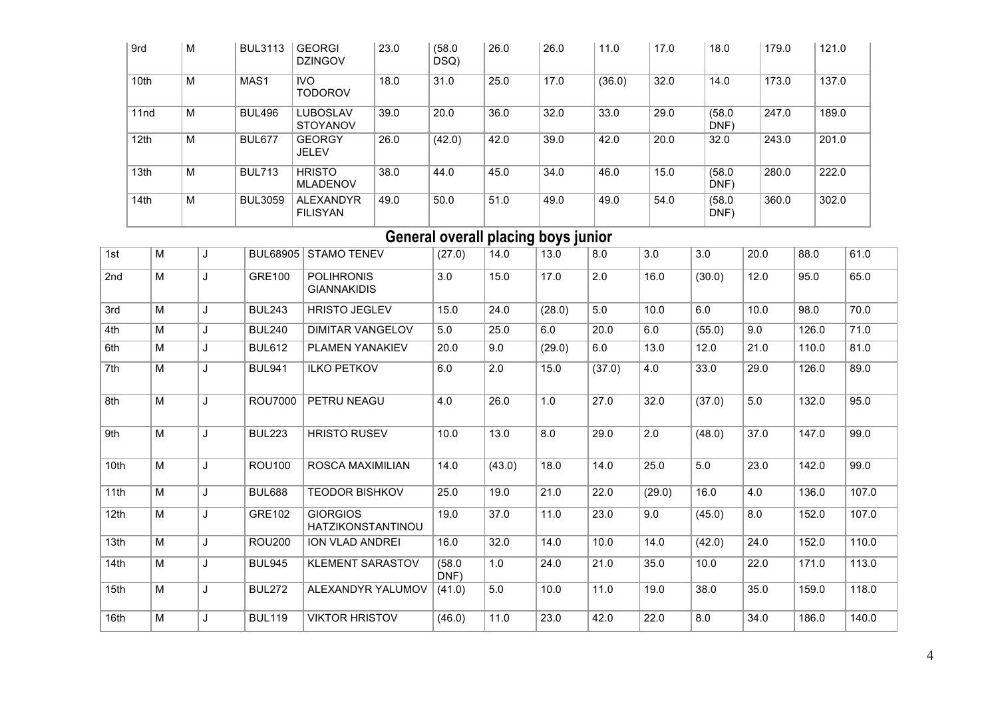| 9rd              | M | <b>BUL3113</b>   | <b>GEORGI</b><br><b>DZINGOV</b>     | 23.0 | (58.0)<br>DSQ) | 26.0 | 26.0 | 11.0   | 17.0 | 18.0           | 179.0 | 121.0 |
|------------------|---|------------------|-------------------------------------|------|----------------|------|------|--------|------|----------------|-------|-------|
| 10th             | M | MAS <sub>1</sub> | <b>IVO</b><br><b>TODOROV</b>        | 18.0 | 31.0           | 25.0 | 17.0 | (36.0) | 32.0 | 14.0           | 173.0 | 137.0 |
| 11 <sub>nd</sub> | M | <b>BUL496</b>    | <b>LUBOSLAV</b><br><b>STOYANOV</b>  | 39.0 | 20.0           | 36.0 | 32.0 | 33.0   | 29.0 | (58.0)<br>DNF) | 247.0 | 189.0 |
| 12 <sub>th</sub> | M | <b>BUL677</b>    | <b>GEORGY</b><br><b>JELEV</b>       | 26.0 | (42.0)         | 42.0 | 39.0 | 42.0   | 20.0 | 32.0           | 243.0 | 201.0 |
| 13 <sub>th</sub> | M | <b>BUL713</b>    | <b>HRISTO</b><br><b>MLADENOV</b>    | 38.0 | 44.0           | 45.0 | 34.0 | 46.0   | 15.0 | (58.0)<br>DNF) | 280.0 | 222.0 |
| 14 <sub>th</sub> | M | <b>BUL3059</b>   | <b>ALEXANDYR</b><br><b>FILISYAN</b> | 49.0 | 50.0           | 51.0 | 49.0 | 49.0   | 54.0 | (58.0)<br>DNF) | 360.0 | 302.0 |

### **General overall placing boys junior**

| 1st              | M | . J | <b>BUL68905</b> | <b>STAMO TENEV</b>                          | (27.0)         | 14.0   | 13.0   | 8.0    | 3.0    | 3.0    | 20.0 | 88.0  | 61.0  |
|------------------|---|-----|-----------------|---------------------------------------------|----------------|--------|--------|--------|--------|--------|------|-------|-------|
| 2 <sub>nd</sub>  | M | J   | <b>GRE100</b>   | <b>POLIHRONIS</b><br><b>GIANNAKIDIS</b>     | 3.0            | 15.0   | 17.0   | 2.0    | 16.0   | (30.0) | 12.0 | 95.0  | 65.0  |
| 3rd              | M | J   | <b>BUL243</b>   | <b>HRISTO JEGLEV</b>                        | 15.0           | 24.0   | (28.0) | 5.0    | 10.0   | 6.0    | 10.0 | 98.0  | 70.0  |
| 4th              | M | J   | <b>BUL240</b>   | DIMITAR VANGELOV                            | 5.0            | 25.0   | 6.0    | 20.0   | 6.0    | (55.0) | 9.0  | 126.0 | 71.0  |
| 6th              | M | J   | <b>BUL612</b>   | <b>PLAMEN YANAKIEV</b>                      | 20.0           | 9.0    | (29.0) | 6.0    | 13.0   | 12.0   | 21.0 | 110.0 | 81.0  |
| 7th              | M |     | <b>BUL941</b>   | <b>ILKO PETKOV</b>                          | 6.0            | 2.0    | 15.0   | (37.0) | 4.0    | 33.0   | 29.0 | 126.0 | 89.0  |
| 8th              | M | J   | <b>ROU7000</b>  | PETRU NEAGU                                 | 4.0            | 26.0   | 1.0    | 27.0   | 32.0   | (37.0) | 5.0  | 132.0 | 95.0  |
| 9th              | M | J   | <b>BUL223</b>   | <b>HRISTO RUSEV</b>                         | 10.0           | 13.0   | 8.0    | 29.0   | 2.0    | (48.0) | 37.0 | 147.0 | 99.0  |
| 10th             | M | J   | <b>ROU100</b>   | ROSCA MAXIMILIAN                            | 14.0           | (43.0) | 18.0   | 14.0   | 25.0   | 5.0    | 23.0 | 142.0 | 99.0  |
| 11th             | M | J   | <b>BUL688</b>   | <b>TEODOR BISHKOV</b>                       | 25.0           | 19.0   | 21.0   | 22.0   | (29.0) | 16.0   | 4.0  | 136.0 | 107.0 |
| 12th             | M | J   | GRE102          | <b>GIORGIOS</b><br><b>HATZIKONSTANTINOU</b> | 19.0           | 37.0   | 11.0   | 23.0   | 9.0    | (45.0) | 8.0  | 152.0 | 107.0 |
| 13th             | M | J   | <b>ROU200</b>   | <b>ION VLAD ANDREI</b>                      | 16.0           | 32.0   | 14.0   | 10.0   | 14.0   | (42.0) | 24.0 | 152.0 | 110.0 |
| 14th             | M | J   | <b>BUL945</b>   | <b>KLEMENT SARASTOV</b>                     | (58.0)<br>DNF) | 1.0    | 24.0   | 21.0   | 35.0   | 10.0   | 22.0 | 171.0 | 113.0 |
| 15 <sub>th</sub> | M | J   | <b>BUL272</b>   | ALEXANDYR YALUMOV                           | (41.0)         | 5.0    | 10.0   | 11.0   | 19.0   | 38.0   | 35.0 | 159.0 | 118.0 |
| 16th             | M | J   | <b>BUL119</b>   | <b>VIKTOR HRISTOV</b>                       | (46.0)         | 11.0   | 23.0   | 42.0   | 22.0   | 8.0    | 34.0 | 186.0 | 140.0 |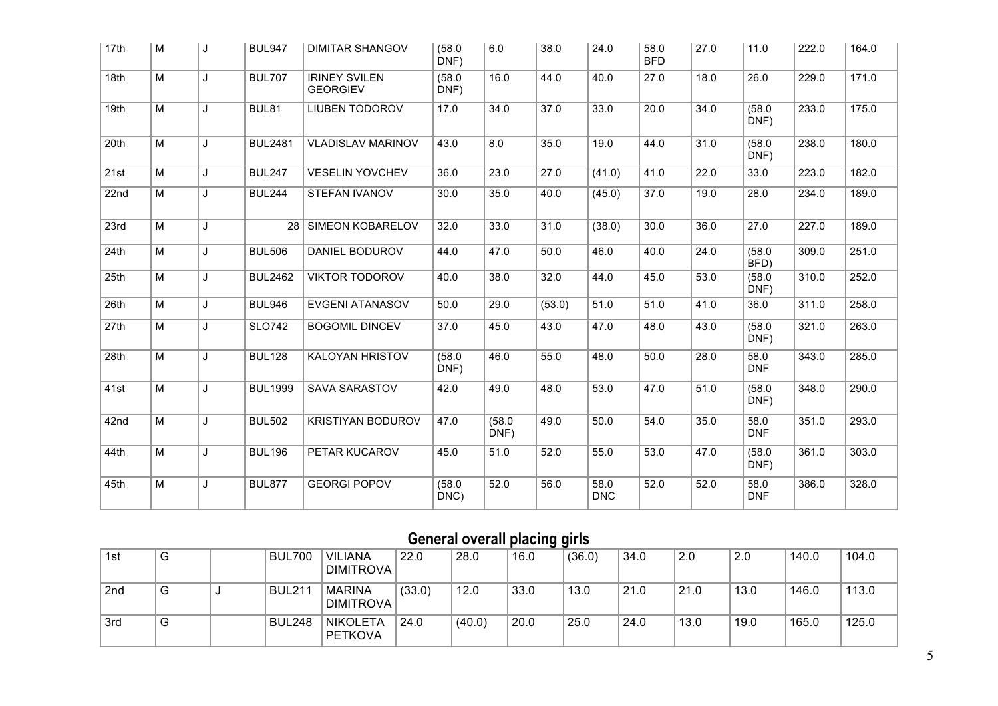| 17th | M              | J | <b>BUL947</b>  | <b>DIMITAR SHANGOV</b>                  | (58.0)<br>DNF) | 6.0            | 38.0   | 24.0               | 58.0<br><b>BFD</b> | 27.0 | 11.0               | 222.0 | 164.0 |
|------|----------------|---|----------------|-----------------------------------------|----------------|----------------|--------|--------------------|--------------------|------|--------------------|-------|-------|
| 18th | $\overline{M}$ | J | <b>BUL707</b>  | <b>IRINEY SVILEN</b><br><b>GEORGIEV</b> | (58.0)<br>DNF) | 16.0           | 44.0   | 40.0               | 27.0               | 18.0 | 26.0               | 229.0 | 171.0 |
| 19th | $\overline{M}$ | J | BUL81          | <b>LIUBEN TODOROV</b>                   | 17.0           | 34.0           | 37.0   | 33.0               | 20.0               | 34.0 | (58.0)<br>DNF)     | 233.0 | 175.0 |
| 20th | M              | J | <b>BUL2481</b> | <b>VLADISLAV MARINOV</b>                | 43.0           | 8.0            | 35.0   | 19.0               | 44.0               | 31.0 | (58.0)<br>DNF)     | 238.0 | 180.0 |
| 21st | $\overline{M}$ | J | <b>BUL247</b>  | <b>VESELIN YOVCHEV</b>                  | 36.0           | 23.0           | 27.0   | (41.0)             | 41.0               | 22.0 | 33.0               | 223.0 | 182.0 |
| 22nd | M              | J | <b>BUL244</b>  | <b>STEFAN IVANOV</b>                    | 30.0           | 35.0           | 40.0   | (45.0)             | 37.0               | 19.0 | 28.0               | 234.0 | 189.0 |
| 23rd | M              | J | 28             | <b>SIMEON KOBARELOV</b>                 | 32.0           | 33.0           | 31.0   | (38.0)             | 30.0               | 36.0 | 27.0               | 227.0 | 189.0 |
| 24th | M              | J | <b>BUL506</b>  | <b>DANIEL BODUROV</b>                   | 44.0           | 47.0           | 50.0   | 46.0               | 40.0               | 24.0 | (58.0)<br>BFD)     | 309.0 | 251.0 |
| 25th | M              | J | <b>BUL2462</b> | <b>VIKTOR TODOROV</b>                   | 40.0           | 38.0           | 32.0   | 44.0               | 45.0               | 53.0 | (58.0)<br>DNF)     | 310.0 | 252.0 |
| 26th | M              | J | <b>BUL946</b>  | <b>EVGENI ATANASOV</b>                  | 50.0           | 29.0           | (53.0) | 51.0               | 51.0               | 41.0 | 36.0               | 311.0 | 258.0 |
| 27th | $\overline{M}$ | J | <b>SLO742</b>  | <b>BOGOMIL DINCEV</b>                   | 37.0           | 45.0           | 43.0   | 47.0               | 48.0               | 43.0 | (58.0)<br>DNF)     | 321.0 | 263.0 |
| 28th | $\overline{M}$ | J | <b>BUL128</b>  | KALOYAN HRISTOV                         | (58.0)<br>DNF) | 46.0           | 55.0   | 48.0               | 50.0               | 28.0 | 58.0<br><b>DNF</b> | 343.0 | 285.0 |
| 41st | $\overline{M}$ | J | <b>BUL1999</b> | <b>SAVA SARASTOV</b>                    | 42.0           | 49.0           | 48.0   | 53.0               | 47.0               | 51.0 | (58.0)<br>DNF)     | 348.0 | 290.0 |
| 42nd | M              | J | <b>BUL502</b>  | <b>KRISTIYAN BODUROV</b>                | 47.0           | (58.0)<br>DNF) | 49.0   | 50.0               | 54.0               | 35.0 | 58.0<br><b>DNF</b> | 351.0 | 293.0 |
| 44th | M              | J | <b>BUL196</b>  | PETAR KUCAROV                           | 45.0           | 51.0           | 52.0   | 55.0               | 53.0               | 47.0 | (58.0)<br>DNF)     | 361.0 | 303.0 |
| 45th | M              | J | <b>BUL877</b>  | <b>GEORGI POPOV</b>                     | (58.0)<br>DNC) | 52.0           | 56.0   | 58.0<br><b>DNC</b> | 52.0               | 52.0 | 58.0<br><b>DNF</b> | 386.0 | 328.0 |

# **General overall placing girls**

| 1st             | G | <b>BUL700</b> | <b>VILIANA</b><br><b>DIMITROVA</b> | 22.0   | 28.0   | 16.0 | (36.0) | 34.0 | 2.0  | 2.0  | 140.0 | 104.0 |
|-----------------|---|---------------|------------------------------------|--------|--------|------|--------|------|------|------|-------|-------|
| 2 <sub>nd</sub> | G | <b>BUL211</b> | <b>MARINA</b><br><b>DIMITROVA</b>  | (33.0) | 12.0   | 33.0 | 13.0   | 21.0 | 21.0 | 13.0 | 146.0 | 113.0 |
| 3rd             | G | <b>BUL248</b> | <b>NIKOLETA</b><br><b>PETKOVA</b>  | 24.0   | (40.0) | 20.0 | 25.0   | 24.0 | 13.0 | 19.0 | 165.0 | 125.0 |